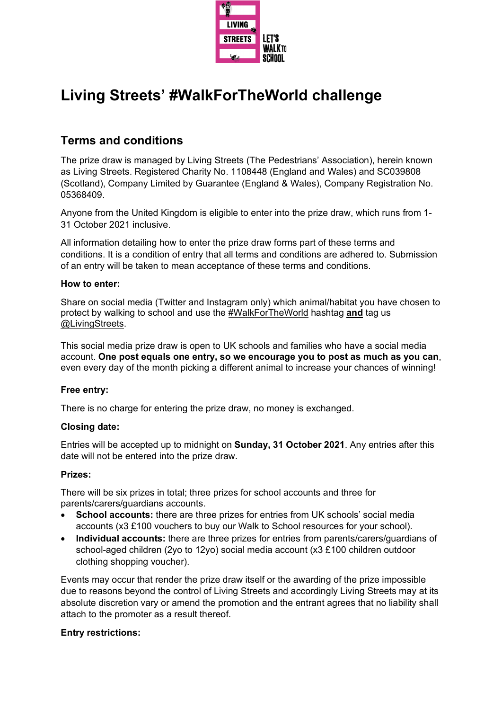

# **Living Streets' #WalkForTheWorld challenge**

# **Terms and conditions**

The prize draw is managed by Living Streets (The Pedestrians' Association), herein known as Living Streets. Registered Charity No. 1108448 (England and Wales) and SC039808 (Scotland), Company Limited by Guarantee (England & Wales), Company Registration No. 05368409.

Anyone from the United Kingdom is eligible to enter into the prize draw, which runs from 1- 31 October 2021 inclusive.

All information detailing how to enter the prize draw forms part of these terms and conditions. It is a condition of entry that all terms and conditions are adhered to. Submission of an entry will be taken to mean acceptance of these terms and conditions.

# **How to enter:**

Share on social media (Twitter and Instagram only) which animal/habitat you have chosen to protect by walking to school and use the #WalkForTheWorld hashtag **and** tag us @LivingStreets.

This social media prize draw is open to UK schools and families who have a social media account. **One post equals one entry, so we encourage you to post as much as you can**, even every day of the month picking a different animal to increase your chances of winning!

# **Free entry:**

There is no charge for entering the prize draw, no money is exchanged.

# **Closing date:**

Entries will be accepted up to midnight on **Sunday, 31 October 2021**. Any entries after this date will not be entered into the prize draw.

# **Prizes:**

There will be six prizes in total; three prizes for school accounts and three for parents/carers/guardians accounts.

- **School accounts:** there are three prizes for entries from UK schools' social media accounts (x3 £100 vouchers to buy our Walk to School resources for your school).
- **Individual accounts:** there are three prizes for entries from parents/carers/guardians of school-aged children (2yo to 12yo) social media account (x3 £100 children outdoor clothing shopping voucher).

Events may occur that render the prize draw itself or the awarding of the prize impossible due to reasons beyond the control of Living Streets and accordingly Living Streets may at its absolute discretion vary or amend the promotion and the entrant agrees that no liability shall attach to the promoter as a result thereof.

# **Entry restrictions:**